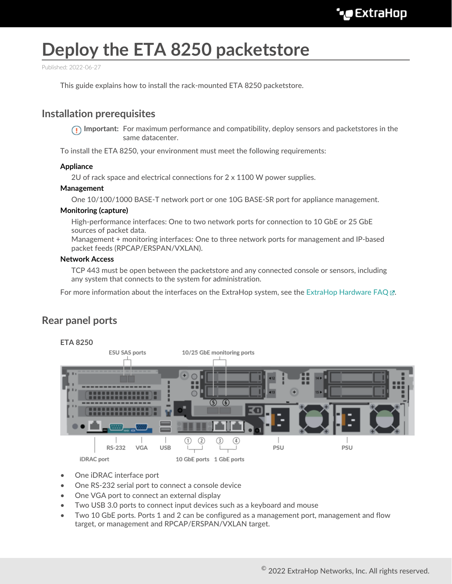# **Deploy the ETA 8250 packetstore**

Published: 2022-06-27

This guide explains how to install the rack-mounted ETA 8250 packetstore.

## **Installation prerequisites**

**Important:** For maximum performance and compatibility, deploy sensors and packetstores in the same datacenter.

To install the ETA 8250, your environment must meet the following requirements:

#### **Appliance**

2U of rack space and electrical connections for 2 x 1100 W power supplies.

#### **Management**

One 10/100/1000 BASE-T network port or one 10G BASE-SR port for appliance management.

#### **Monitoring (capture)**

High-performance interfaces: One to two network ports for connection to 10 GbE or 25 GbE sources of packet data.

Management + monitoring interfaces: One to three network ports for management and IP-based packet feeds (RPCAP/ERSPAN/VXLAN).

#### **Network Access**

TCP 443 must be open between the packetstore and any connected console or sensors, including any system that connects to the system for administration.

For more information about the interfaces on the ExtraHop system, see the ExtraHop Hardware FAQ  $\mathbb{E}$ .

### **Rear panel ports**



- One iDRAC interface port
- One RS-232 serial port to connect a console device
- One VGA port to connect an external display
- Two USB 3.0 ports to connect input devices such as a keyboard and mouse
- Two 10 GbE ports. Ports 1 and 2 can be configured as a management port, management and flow target, or management and RPCAP/ERSPAN/VXLAN target.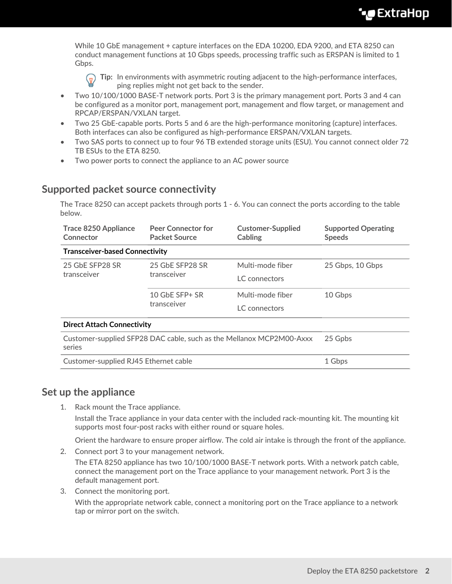While 10 GbE management + capture interfaces on the EDA 10200, EDA 9200, and ETA 8250 can conduct management functions at 10 Gbps speeds, processing traffic such as ERSPAN is limited to 1 Gbps.

**Tip:** In environments with asymmetric routing adjacent to the high-performance interfaces, ping replies might not get back to the sender.

- Two 10/100/1000 BASE-T network ports. Port 3 is the primary management port. Ports 3 and 4 can be configured as a monitor port, management port, management and flow target, or management and RPCAP/ERSPAN/VXLAN target.
- Two 25 GbE-capable ports. Ports 5 and 6 are the high-performance monitoring (capture) interfaces. Both interfaces can also be configured as high-performance ERSPAN/VXLAN targets.
- Two SAS ports to connect up to four 96 TB extended storage units (ESU). You cannot connect older 72 TB ESUs to the ETA 8250.
- Two power ports to connect the appliance to an AC power source

## **Supported packet source connectivity**

The Trace 8250 can accept packets through ports 1 - 6. You can connect the ports according to the table below.

| <b>Trace 8250 Appliance</b><br>Connector                                       | <b>Peer Connector for</b><br><b>Packet Source</b> | <b>Customer-Supplied</b><br><b>Supported Operating</b><br><b>Cabling</b><br><b>Speeds</b> |                  |  |  |  |  |  |
|--------------------------------------------------------------------------------|---------------------------------------------------|-------------------------------------------------------------------------------------------|------------------|--|--|--|--|--|
| <b>Transceiver-based Connectivity</b>                                          |                                                   |                                                                                           |                  |  |  |  |  |  |
| 25 GbE SFP28 SR<br>transceiver                                                 | 25 GbE SFP28 SR                                   | Multi-mode fiber                                                                          | 25 Gbps, 10 Gbps |  |  |  |  |  |
|                                                                                | transceiver                                       | LC connectors                                                                             |                  |  |  |  |  |  |
|                                                                                | 10 GbE SFP+ SR<br>transceiver                     | Multi-mode fiber                                                                          | 10 Gbps          |  |  |  |  |  |
|                                                                                |                                                   | LC connectors                                                                             |                  |  |  |  |  |  |
| <b>Direct Attach Connectivity</b>                                              |                                                   |                                                                                           |                  |  |  |  |  |  |
| Customer-supplied SFP28 DAC cable, such as the Mellanox MCP2M00-Axxx<br>series | 25 Gpbs                                           |                                                                                           |                  |  |  |  |  |  |
| Customer-supplied RJ45 Ethernet cable                                          | 1 Gbps                                            |                                                                                           |                  |  |  |  |  |  |

## **Set up the appliance**

1. Rack mount the Trace appliance.

Install the Trace appliance in your data center with the included rack-mounting kit. The mounting kit supports most four-post racks with either round or square holes.

Orient the hardware to ensure proper airflow. The cold air intake is through the front of the appliance.

2. Connect port 3 to your management network.

The ETA 8250 appliance has two 10/100/1000 BASE-T network ports. With a network patch cable, connect the management port on the Trace appliance to your management network. Port 3 is the default management port.

3. Connect the monitoring port.

With the appropriate network cable, connect a monitoring port on the Trace appliance to a network tap or mirror port on the switch.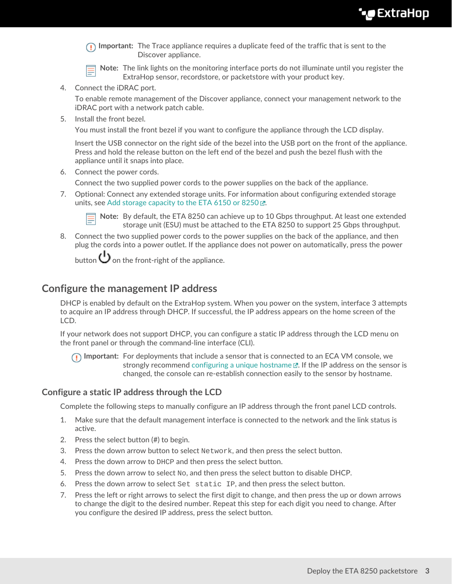**Important:** The Trace appliance requires a duplicate feed of the traffic that is sent to the Discover appliance.

**Note:** The link lights on the monitoring interface ports do not illuminate until you register the ExtraHop sensor, recordstore, or packetstore with your product key.

4. Connect the iDRAC port.

To enable remote management of the Discover appliance, connect your management network to the iDRAC port with a network patch cable.

5. Install the front bezel.

You must install the front bezel if you want to configure the appliance through the LCD display.

Insert the USB connector on the right side of the bezel into the USB port on the front of the appliance. Press and hold the release button on the left end of the bezel and push the bezel flush with the appliance until it snaps into place.

6. Connect the power cords.

Connect the two supplied power cords to the power supplies on the back of the appliance.

7. Optional: Connect any extended storage units. For information about configuring extended storage units, see [Add storage capacity to the ETA 6150 or 8250](https://docs.extrahop.com/8.9/deploy-esu/#add-storage-capacity-to-the-eta-6150-or-8250) ...



**Note:** By default, the ETA 8250 can achieve up to 10 Gbps throughput. At least one extended storage unit (ESU) must be attached to the ETA 8250 to support 25 Gbps throughput.

8. Connect the two supplied power cords to the power supplies on the back of the appliance, and then plug the cords into a power outlet. If the appliance does not power on automatically, press the power

button  $\bigcup$  on the front-right of the appliance.

## **Configure the management IP address**

DHCP is enabled by default on the ExtraHop system. When you power on the system, interface 3 attempts to acquire an IP address through DHCP. If successful, the IP address appears on the home screen of the LCD.

If your network does not support DHCP, you can configure a static IP address through the LCD menu on the front panel or through the command-line interface (CLI).

**Important:** For deployments that include a sensor that is connected to an ECA VM console, we strongly recommend configuring a unique hostname  $\mathbb{E}$ . If the IP address on the sensor is changed, the console can re-establish connection easily to the sensor by hostname.

#### **Configure a static IP address through the LCD**

Complete the following steps to manually configure an IP address through the front panel LCD controls.

- 1. Make sure that the default management interface is connected to the network and the link status is active.
- 2. Press the select button (#) to begin.
- 3. Press the down arrow button to select Network, and then press the select button.
- 4. Press the down arrow to DHCP and then press the select button.
- 5. Press the down arrow to select  $N_{\rm O}$ , and then press the select button to disable DHCP.
- 6. Press the down arrow to select Set static IP, and then press the select button.
- 7. Press the left or right arrows to select the first digit to change, and then press the up or down arrows to change the digit to the desired number. Repeat this step for each digit you need to change. After you configure the desired IP address, press the select button.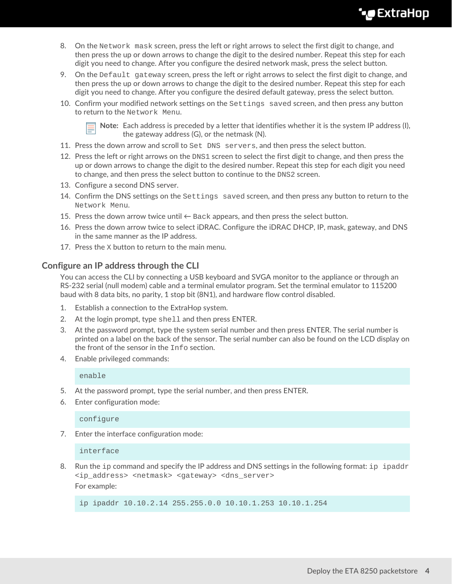## **∙e** ExtraHop

- 8. On the Network mask screen, press the left or right arrows to select the first digit to change, and then press the up or down arrows to change the digit to the desired number. Repeat this step for each digit you need to change. After you configure the desired network mask, press the select button.
- 9. On the Default gateway screen, press the left or right arrows to select the first digit to change, and then press the up or down arrows to change the digit to the desired number. Repeat this step for each digit you need to change. After you configure the desired default gateway, press the select button.
- 10. Confirm your modified network settings on the Settings saved screen, and then press any button to return to the Network Menu.



**Note:** Each address is preceded by a letter that identifies whether it is the system IP address (I), the gateway address (G), or the netmask (N).

- 11. Press the down arrow and scroll to Set DNS servers, and then press the select button.
- 12. Press the left or right arrows on the DNS1 screen to select the first digit to change, and then press the up or down arrows to change the digit to the desired number. Repeat this step for each digit you need to change, and then press the select button to continue to the DNS2 screen.
- 13. Configure a second DNS server.
- 14. Confirm the DNS settings on the Settings saved screen, and then press any button to return to the Network Menu.
- 15. Press the down arrow twice until  $\leftarrow$  Back appears, and then press the select button.
- 16. Press the down arrow twice to select iDRAC. Configure the iDRAC DHCP, IP, mask, gateway, and DNS in the same manner as the IP address.
- 17. Press the X button to return to the main menu.

#### **Configure an IP address through the CLI**

You can access the CLI by connecting a USB keyboard and SVGA monitor to the appliance or through an RS-232 serial (null modem) cable and a terminal emulator program. Set the terminal emulator to 115200 baud with 8 data bits, no parity, 1 stop bit (8N1), and hardware flow control disabled.

- 1. Establish a connection to the ExtraHop system.
- 2. At the login prompt, type shell and then press ENTER.
- 3. At the password prompt, type the system serial number and then press ENTER. The serial number is printed on a label on the back of the sensor. The serial number can also be found on the LCD display on the front of the sensor in the Info section.
- 4. Enable privileged commands:

enable

- 5. At the password prompt, type the serial number, and then press ENTER.
- 6. Enter configuration mode:

configure

7. Enter the interface configuration mode:

interface

8. Run the ip command and specify the IP address and DNS settings in the following format: ip ipaddr <ip\_address> <netmask> <gateway> <dns\_server> For example:

ip ipaddr 10.10.2.14 255.255.0.0 10.10.1.253 10.10.1.254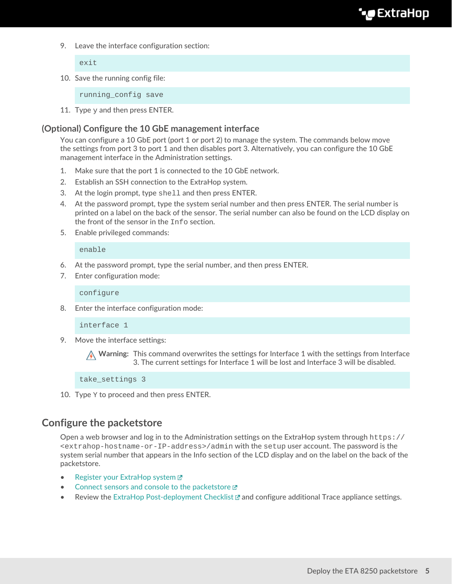9. Leave the interface configuration section:

exit

10. Save the running config file:

running\_config save

11. Type  $y$  and then press ENTER.

#### **(Optional) Configure the 10 GbE management interface**

You can configure a 10 GbE port (port 1 or port 2) to manage the system. The commands below move the settings from port 3 to port 1 and then disables port 3. Alternatively, you can configure the 10 GbE management interface in the Administration settings.

- 1. Make sure that the port 1 is connected to the 10 GbE network.
- 2. Establish an SSH connection to the ExtraHop system.
- 3. At the login prompt, type shell and then press ENTER.
- 4. At the password prompt, type the system serial number and then press ENTER. The serial number is printed on a label on the back of the sensor. The serial number can also be found on the LCD display on the front of the sensor in the Info section.
- 5. Enable privileged commands:

enable

- 6. At the password prompt, type the serial number, and then press ENTER.
- 7. Enter configuration mode:

configure

8. Enter the interface configuration mode:

interface 1

9. Move the interface settings:

**A** Warning: This command overwrites the settings for Interface 1 with the settings from Interface 3. The current settings for Interface 1 will be lost and Interface 3 will be disabled.

take\_settings 3

10. Type Y to proceed and then press ENTER.

## **Configure the packetstore**

Open a web browser and log in to the Administration settings on the ExtraHop system through https:// <extrahop-hostname-or-IP-address>/admin with the setup user account. The password is the system serial number that appears in the Info section of the LCD display and on the label on the back of the packetstore.

- [Register your ExtraHop system](https://docs.extrahop.com/8.9/register-appliance/#register-your-extrahop-system) M
- [Connect sensors and console to the packetstore](https://docs.extrahop.com/8.9/connect-eda-eca-eta/#connect-sensors-and-console-to-the-packetstore) E
- Review the [ExtraHop Post-deployment Checklist](https://docs.extrahop.com/8.9/eta-post-deployment-checklist)  $\mathbb Z$  and configure additional Trace appliance settings.